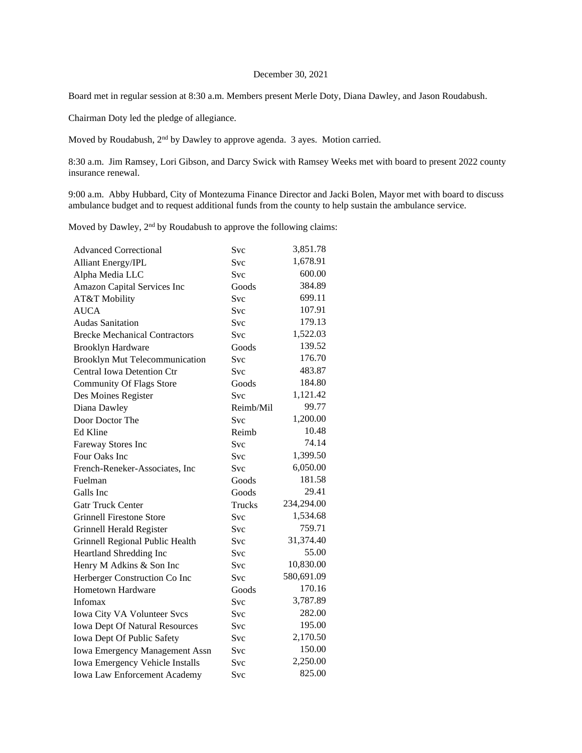## December 30, 2021

Board met in regular session at 8:30 a.m. Members present Merle Doty, Diana Dawley, and Jason Roudabush.

Chairman Doty led the pledge of allegiance.

Moved by Roudabush, 2nd by Dawley to approve agenda. 3 ayes. Motion carried.

8:30 a.m. Jim Ramsey, Lori Gibson, and Darcy Swick with Ramsey Weeks met with board to present 2022 county insurance renewal.

9:00 a.m. Abby Hubbard, City of Montezuma Finance Director and Jacki Bolen, Mayor met with board to discuss ambulance budget and to request additional funds from the county to help sustain the ambulance service.

Moved by Dawley, 2<sup>nd</sup> by Roudabush to approve the following claims:

| <b>Advanced Correctional</b>          | Svc        | 3,851.78   |
|---------------------------------------|------------|------------|
| Alliant Energy/IPL                    | Svc        | 1,678.91   |
| Alpha Media LLC                       | <b>Svc</b> | 600.00     |
| Amazon Capital Services Inc           | Goods      | 384.89     |
| AT&T Mobility                         | <b>Svc</b> | 699.11     |
| <b>AUCA</b>                           | Svc        | 107.91     |
| <b>Audas Sanitation</b>               | Svc        | 179.13     |
| <b>Brecke Mechanical Contractors</b>  | Svc        | 1,522.03   |
| <b>Brooklyn Hardware</b>              | Goods      | 139.52     |
| Brooklyn Mut Telecommunication        | Svc        | 176.70     |
| <b>Central Iowa Detention Ctr</b>     | <b>Svc</b> | 483.87     |
| <b>Community Of Flags Store</b>       | Goods      | 184.80     |
| Des Moines Register                   | Svc        | 1,121.42   |
| Diana Dawley                          | Reimb/Mil  | 99.77      |
| Door Doctor The                       | Svc        | 1,200.00   |
| Ed Kline                              | Reimb      | 10.48      |
| Fareway Stores Inc                    | Svc        | 74.14      |
| Four Oaks Inc                         | Svc        | 1,399.50   |
| French-Reneker-Associates, Inc        | Svc        | 6,050.00   |
| Fuelman                               | Goods      | 181.58     |
| Galls Inc                             | Goods      | 29.41      |
| <b>Gatr Truck Center</b>              | Trucks     | 234,294.00 |
| <b>Grinnell Firestone Store</b>       | Svc        | 1,534.68   |
| Grinnell Herald Register              | Svc        | 759.71     |
| Grinnell Regional Public Health       | Svc        | 31,374.40  |
| Heartland Shredding Inc               | Svc        | 55.00      |
| Henry M Adkins & Son Inc              | <b>Svc</b> | 10,830.00  |
| Herberger Construction Co Inc         | Svc        | 580,691.09 |
| Hometown Hardware                     | Goods      | 170.16     |
| Infomax                               | Svc        | 3,787.89   |
| Iowa City VA Volunteer Svcs           | Svc        | 282.00     |
| <b>Iowa Dept Of Natural Resources</b> | Svc        | 195.00     |
| Iowa Dept Of Public Safety            | Svc        | 2,170.50   |
| <b>Iowa Emergency Management Assn</b> | Svc        | 150.00     |
| Iowa Emergency Vehicle Installs       | Svc        | 2,250.00   |
| Iowa Law Enforcement Academy          | Svc        | 825.00     |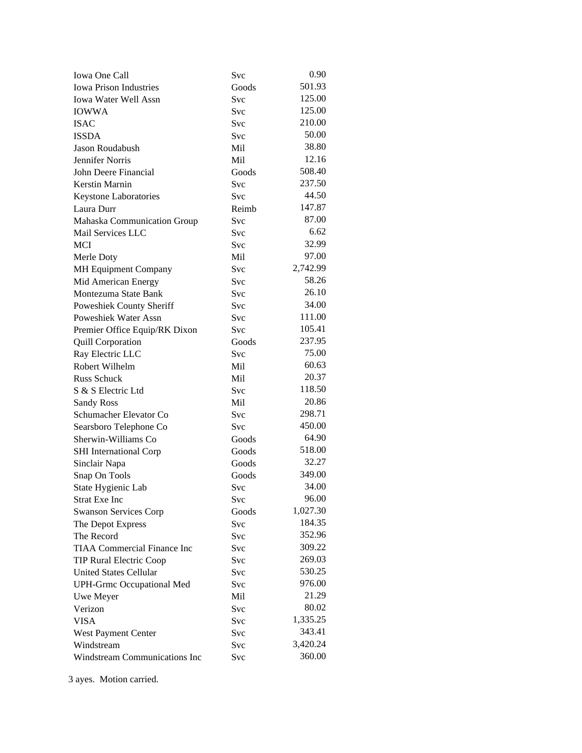| <b>Iowa One Call</b>               | Svc        | 0.90     |
|------------------------------------|------------|----------|
| <b>Iowa Prison Industries</b>      | Goods      | 501.93   |
| Iowa Water Well Assn               | Svc        | 125.00   |
| <b>IOWWA</b>                       | Svc        | 125.00   |
| <b>ISAC</b>                        | Svc        | 210.00   |
| <b>ISSDA</b>                       | Svc        | 50.00    |
| Jason Roudabush                    | Mil        | 38.80    |
| Jennifer Norris                    | Mil        | 12.16    |
| John Deere Financial               | Goods      | 508.40   |
| Kerstin Marnin                     | Svc        | 237.50   |
| <b>Keystone Laboratories</b>       | Svc        | 44.50    |
| Laura Durr                         | Reimb      | 147.87   |
| Mahaska Communication Group        | Svc        | 87.00    |
| Mail Services LLC                  | Svc        | 6.62     |
| <b>MCI</b>                         | Svc        | 32.99    |
| Merle Doty                         | Mil        | 97.00    |
| MH Equipment Company               | Svc        | 2,742.99 |
| Mid American Energy                | Svc        | 58.26    |
| Montezuma State Bank               | Svc        | 26.10    |
| Poweshiek County Sheriff           | Svc        | 34.00    |
| Poweshiek Water Assn               | <b>Svc</b> | 111.00   |
| Premier Office Equip/RK Dixon      | <b>Svc</b> | 105.41   |
| <b>Quill Corporation</b>           | Goods      | 237.95   |
| Ray Electric LLC                   | Svc        | 75.00    |
| Robert Wilhelm                     | Mil        | 60.63    |
| <b>Russ Schuck</b>                 | Mil        | 20.37    |
| S & S Electric Ltd                 | <b>Svc</b> | 118.50   |
| <b>Sandy Ross</b>                  | Mil        | 20.86    |
| Schumacher Elevator Co             | Svc        | 298.71   |
| Searsboro Telephone Co             | <b>Svc</b> | 450.00   |
| Sherwin-Williams Co                | Goods      | 64.90    |
| <b>SHI</b> International Corp      | Goods      | 518.00   |
| Sinclair Napa                      | Goods      | 32.27    |
| Snap On Tools                      | Goods      | 349.00   |
| State Hygienic Lab                 | Svc        | 34.00    |
| <b>Strat Exe Inc</b>               | Svc        | 96.00    |
| <b>Swanson Services Corp</b>       | Goods      | 1,027.30 |
| The Depot Express                  | Svc        | 184.35   |
| The Record                         | <b>Svc</b> | 352.96   |
| <b>TIAA Commercial Finance Inc</b> | <b>Svc</b> | 309.22   |
| <b>TIP Rural Electric Coop</b>     | Svc        | 269.03   |
| <b>United States Cellular</b>      | Svc        | 530.25   |
| <b>UPH-Grmc Occupational Med</b>   | Svc        | 976.00   |
| Uwe Meyer                          | Mil        | 21.29    |
| Verizon                            | Svc        | 80.02    |
| <b>VISA</b>                        | Svc        | 1,335.25 |
| West Payment Center                | Svc        | 343.41   |
| Windstream                         | Svc        | 3,420.24 |
| Windstream Communications Inc      | Svc        | 360.00   |

3 ayes. Motion carried.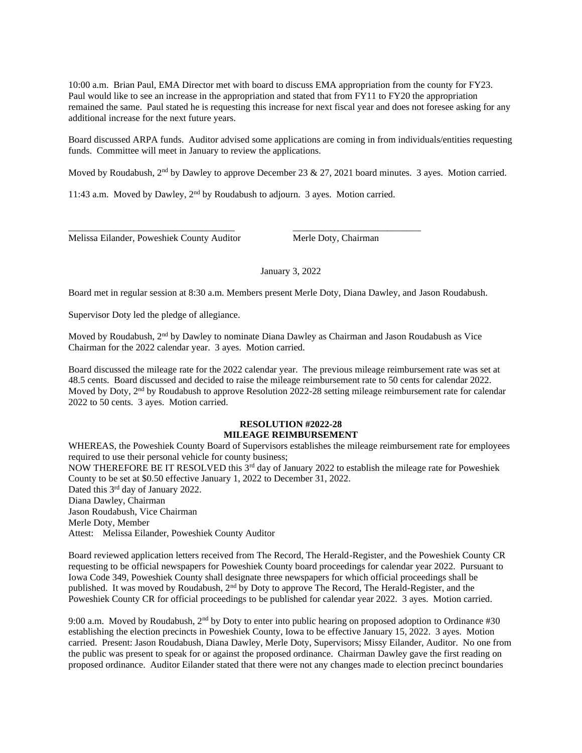10:00 a.m. Brian Paul, EMA Director met with board to discuss EMA appropriation from the county for FY23. Paul would like to see an increase in the appropriation and stated that from FY11 to FY20 the appropriation remained the same. Paul stated he is requesting this increase for next fiscal year and does not foresee asking for any additional increase for the next future years.

Board discussed ARPA funds. Auditor advised some applications are coming in from individuals/entities requesting funds. Committee will meet in January to review the applications.

Moved by Roudabush, 2<sup>nd</sup> by Dawley to approve December 23 & 27, 2021 board minutes. 3 ayes. Motion carried.

11:43 a.m. Moved by Dawley, 2nd by Roudabush to adjourn. 3 ayes. Motion carried.

\_\_\_\_\_\_\_\_\_\_\_\_\_\_\_\_\_\_\_\_\_\_\_\_\_\_\_\_\_\_\_\_\_\_\_ \_\_\_\_\_\_\_\_\_\_\_\_\_\_\_\_\_\_\_\_\_\_\_\_\_\_\_

Melissa Eilander, Poweshiek County Auditor Merle Doty, Chairman

January 3, 2022

Board met in regular session at 8:30 a.m. Members present Merle Doty, Diana Dawley, and Jason Roudabush.

Supervisor Doty led the pledge of allegiance.

Moved by Roudabush, 2<sup>nd</sup> by Dawley to nominate Diana Dawley as Chairman and Jason Roudabush as Vice Chairman for the 2022 calendar year. 3 ayes. Motion carried.

Board discussed the mileage rate for the 2022 calendar year. The previous mileage reimbursement rate was set at 48.5 cents. Board discussed and decided to raise the mileage reimbursement rate to 50 cents for calendar 2022. Moved by Doty, 2<sup>nd</sup> by Roudabush to approve Resolution 2022-28 setting mileage reimbursement rate for calendar 2022 to 50 cents. 3 ayes. Motion carried.

## **RESOLUTION #2022-28 MILEAGE REIMBURSEMENT**

WHEREAS, the Poweshiek County Board of Supervisors establishes the mileage reimbursement rate for employees required to use their personal vehicle for county business; NOW THEREFORE BE IT RESOLVED this  $3<sup>rd</sup>$  day of January 2022 to establish the mileage rate for Poweshiek County to be set at \$0.50 effective January 1, 2022 to December 31, 2022. Dated this 3<sup>rd</sup> day of January 2022. Diana Dawley, Chairman Jason Roudabush, Vice Chairman Merle Doty, Member Attest: Melissa Eilander, Poweshiek County Auditor

Board reviewed application letters received from The Record, The Herald-Register, and the Poweshiek County CR requesting to be official newspapers for Poweshiek County board proceedings for calendar year 2022. Pursuant to Iowa Code 349, Poweshiek County shall designate three newspapers for which official proceedings shall be published. It was moved by Roudabush, 2<sup>nd</sup> by Doty to approve The Record, The Herald-Register, and the Poweshiek County CR for official proceedings to be published for calendar year 2022. 3 ayes. Motion carried.

9:00 a.m. Moved by Roudabush,  $2<sup>nd</sup>$  by Doty to enter into public hearing on proposed adoption to Ordinance #30 establishing the election precincts in Poweshiek County, Iowa to be effective January 15, 2022. 3 ayes. Motion carried. Present: Jason Roudabush, Diana Dawley, Merle Doty, Supervisors; Missy Eilander, Auditor. No one from the public was present to speak for or against the proposed ordinance. Chairman Dawley gave the first reading on proposed ordinance. Auditor Eilander stated that there were not any changes made to election precinct boundaries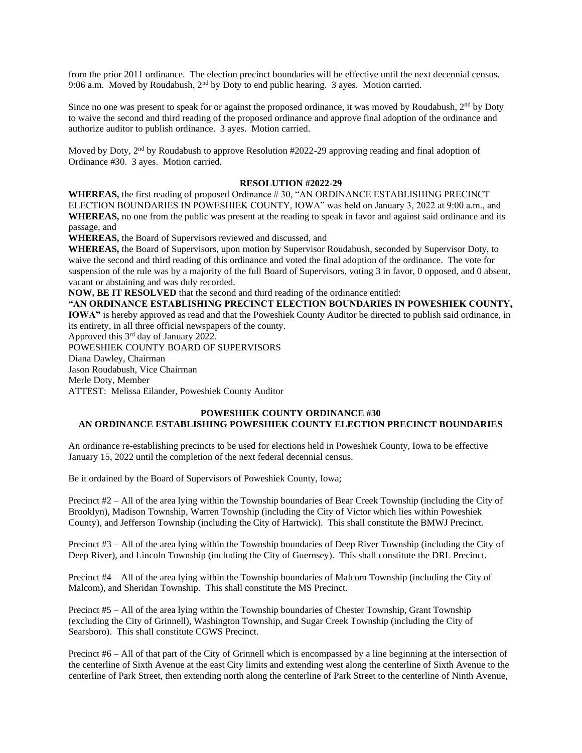from the prior 2011 ordinance. The election precinct boundaries will be effective until the next decennial census. 9:06 a.m. Moved by Roudabush, 2<sup>nd</sup> by Doty to end public hearing. 3 ayes. Motion carried.

Since no one was present to speak for or against the proposed ordinance, it was moved by Roudabush, 2<sup>nd</sup> by Doty to waive the second and third reading of the proposed ordinance and approve final adoption of the ordinance and authorize auditor to publish ordinance. 3 ayes. Motion carried.

Moved by Doty, 2<sup>nd</sup> by Roudabush to approve Resolution #2022-29 approving reading and final adoption of Ordinance #30. 3 ayes. Motion carried.

## **RESOLUTION #2022-29**

**WHEREAS,** the first reading of proposed Ordinance # 30, "AN ORDINANCE ESTABLISHING PRECINCT ELECTION BOUNDARIES IN POWESHIEK COUNTY, IOWA" was held on January 3, 2022 at 9:00 a.m., and **WHEREAS,** no one from the public was present at the reading to speak in favor and against said ordinance and its passage, and

**WHEREAS,** the Board of Supervisors reviewed and discussed, and

**WHEREAS,** the Board of Supervisors, upon motion by Supervisor Roudabush, seconded by Supervisor Doty, to waive the second and third reading of this ordinance and voted the final adoption of the ordinance. The vote for suspension of the rule was by a majority of the full Board of Supervisors, voting 3 in favor, 0 opposed, and 0 absent, vacant or abstaining and was duly recorded.

**NOW, BE IT RESOLVED** that the second and third reading of the ordinance entitled:

**"AN ORDINANCE ESTABLISHING PRECINCT ELECTION BOUNDARIES IN POWESHIEK COUNTY, IOWA"** is hereby approved as read and that the Poweshiek County Auditor be directed to publish said ordinance, in its entirety, in all three official newspapers of the county.

Approved this 3rd day of January 2022.

POWESHIEK COUNTY BOARD OF SUPERVISORS

Diana Dawley, Chairman

Jason Roudabush, Vice Chairman

Merle Doty, Member

ATTEST: Melissa Eilander, Poweshiek County Auditor

## **POWESHIEK COUNTY ORDINANCE #30 AN ORDINANCE ESTABLISHING POWESHIEK COUNTY ELECTION PRECINCT BOUNDARIES**

An ordinance re-establishing precincts to be used for elections held in Poweshiek County, Iowa to be effective January 15, 2022 until the completion of the next federal decennial census.

Be it ordained by the Board of Supervisors of Poweshiek County, Iowa;

Precinct #2 – All of the area lying within the Township boundaries of Bear Creek Township (including the City of Brooklyn), Madison Township, Warren Township (including the City of Victor which lies within Poweshiek County), and Jefferson Township (including the City of Hartwick). This shall constitute the BMWJ Precinct.

Precinct #3 – All of the area lying within the Township boundaries of Deep River Township (including the City of Deep River), and Lincoln Township (including the City of Guernsey). This shall constitute the DRL Precinct.

Precinct #4 – All of the area lying within the Township boundaries of Malcom Township (including the City of Malcom), and Sheridan Township. This shall constitute the MS Precinct.

Precinct #5 – All of the area lying within the Township boundaries of Chester Township, Grant Township (excluding the City of Grinnell), Washington Township, and Sugar Creek Township (including the City of Searsboro). This shall constitute CGWS Precinct.

Precinct #6 – All of that part of the City of Grinnell which is encompassed by a line beginning at the intersection of the centerline of Sixth Avenue at the east City limits and extending west along the centerline of Sixth Avenue to the centerline of Park Street, then extending north along the centerline of Park Street to the centerline of Ninth Avenue,